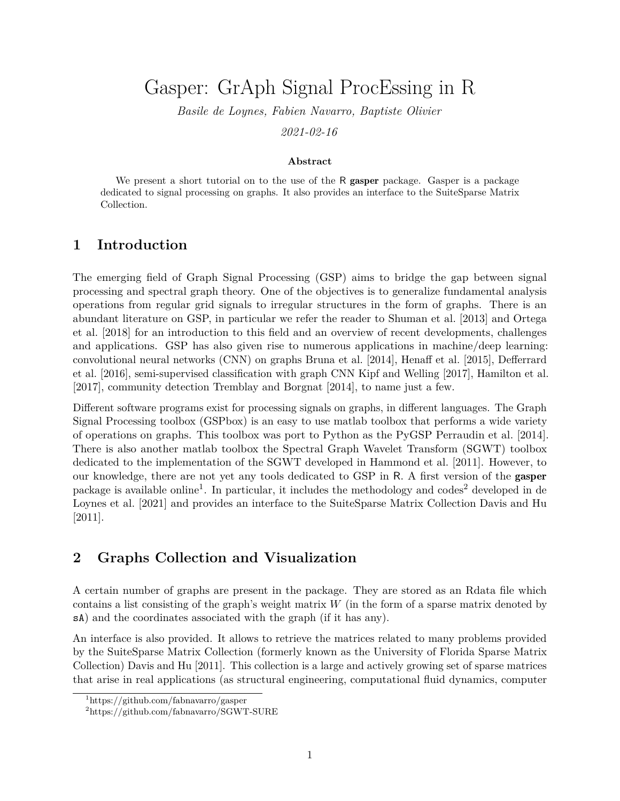# Gasper: GrAph Signal ProcEssing in R

*Basile de Loynes, Fabien Navarro, Baptiste Olivier 2021-02-16*

#### **Abstract**

We present a short tutorial on to the use of the R gasper package. Gasper is a package dedicated to signal processing on graphs. It also provides an interface to the SuiteSparse Matrix Collection.

#### **1 Introduction**

The emerging field of Graph Signal Processing (GSP) aims to bridge the gap between signal processing and spectral graph theory. One of the objectives is to generalize fundamental analysis operations from regular grid signals to irregular structures in the form of graphs. There is an abundant literature on GSP, in particular we refer the reader to [Shuman et al. \[2013\]](#page-8-0) and [Ortega](#page-8-1) [et al. \[2018\]](#page-8-1) for an introduction to this field and an overview of recent developments, challenges and applications. GSP has also given rise to numerous applications in machine/deep learning: convolutional neural networks (CNN) on graphs [Bruna et al. \[2014\]](#page-7-0), [Henaff et al. \[2015\]](#page-8-2), [Defferrard](#page-8-3) [et al. \[2016\]](#page-8-3), semi-supervised classification with graph CNN [Kipf and Welling \[2017\]](#page-8-4), [Hamilton et al.](#page-8-5) [\[2017\]](#page-8-5), community detection [Tremblay and Borgnat \[2014\]](#page-8-6), to name just a few.

Different software programs exist for processing signals on graphs, in different languages. The Graph Signal Processing toolbox (GSPbox) is an easy to use matlab toolbox that performs a wide variety of operations on graphs. This toolbox was port to Python as the PyGSP [Perraudin et al. \[2014\]](#page-8-7). There is also another matlab toolbox the Spectral Graph Wavelet Transform (SGWT) toolbox dedicated to the implementation of the SGWT developed in [Hammond et al. \[2011\]](#page-8-8). However, to our knowledge, there are not yet any tools dedicated to GSP in R. A first version of the gasper package is available online<sup>[1](#page-0-0)</sup>. In particular, it includes the methodology and codes<sup>[2](#page-0-1)</sup> [de](#page-8-9)veloped in de [Loynes et al. \[2021\]](#page-8-9) and provides an interface to the SuiteSparse Matrix Collection [Davis and Hu](#page-7-1) [\[2011\]](#page-7-1).

## **2 Graphs Collection and Visualization**

A certain number of graphs are present in the package. They are stored as an Rdata file which contains a list consisting of the graph's weight matrix *W* (in the form of a sparse matrix denoted by sA) and the coordinates associated with the graph (if it has any).

An interface is also provided. It allows to retrieve the matrices related to many problems provided by the SuiteSparse Matrix Collection (formerly known as the University of Florida Sparse Matrix Collection) [Davis and Hu \[2011\]](#page-7-1). This collection is a large and actively growing set of sparse matrices that arise in real applications (as structural engineering, computational fluid dynamics, computer

<span id="page-0-0"></span><sup>1</sup>https://github.com/fabnavarro/gasper

<span id="page-0-1"></span><sup>2</sup>https://github.com/fabnavarro/SGWT-SURE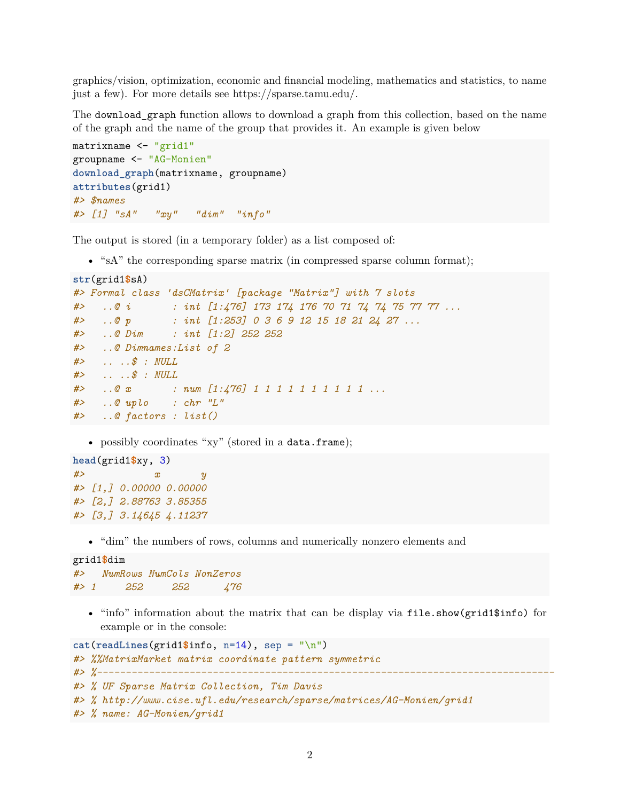graphics/vision, optimization, economic and financial modeling, mathematics and statistics, to name just a few). For more details see [https://sparse.tamu.edu/.](https://sparse.tamu.edu/)

The download\_graph function allows to download a graph from this collection, based on the name of the graph and the name of the group that provides it. An example is given below

```
matrixname <- "grid1"
groupname <- "AG-Monien"
download_graph(matrixname, groupname)
attributes(grid1)
#> $names
#> [1] "sA" "xy" "dim" "info"
```
The output is stored (in a temporary folder) as a list composed of:

• "sA" the corresponding sparse matrix (in compressed sparse column format);

```
str(grid1$sA)
#> Formal class 'dsCMatrix' [package "Matrix"] with 7 slots
#> ..@ i : int [1:476] 173 174 176 70 71 74 74 75 77 77 ...
#> ..@ p : int [1:253] 0 3 6 9 12 15 18 21 24 27 ...
#> ..@ Dim : int [1:2] 252 252
#> ..@ Dimnames:List of 2
#> .. ..$ : NULL
#> .. ..$ : NULL
#> ..@ x : num [1:476] 1 1 1 1 1 1 1 1 1 1 ...
#> ..@ uplo : chr "L"
#> ..@ factors : list()
```
• possibly coordinates "xy" (stored in a data.frame);

```
head(grid1$xy, 3)
#> x y
#> [1,] 0.00000 0.00000
#> [2,] 2.88763 3.85355
#> [3,] 3.14645 4.11237
```
• "dim" the numbers of rows, columns and numerically nonzero elements and

```
grid1$dim
#> NumRows NumCols NonZeros
#> 1 252 252 476
```
• "info" information about the matrix that can be display via file.show(grid1\$info) for example or in the console:

```
cat(readLines(grid1$info, n=14), sep = "\n")#> %%MatrixMarket matrix coordinate pattern symmetric
#> %-------------------------------------------------------------------------------
#> % UF Sparse Matrix Collection, Tim Davis
#> % http://www.cise.ufl.edu/research/sparse/matrices/AG-Monien/grid1
#> % name: AG-Monien/grid1
```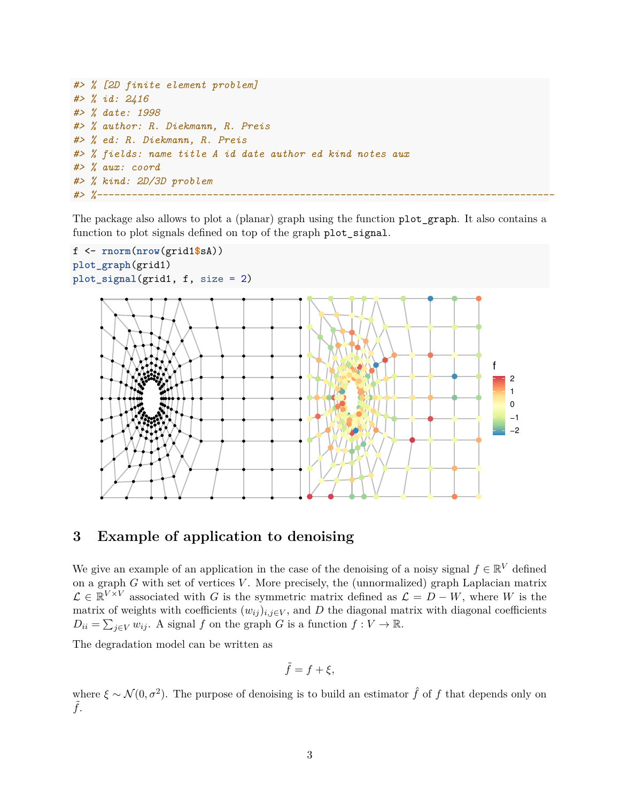```
#> % [2D finite element problem]
#> % id: 2416
#> % date: 1998
#> % author: R. Diekmann, R. Preis
#> % ed: R. Diekmann, R. Preis
#> % fields: name title A id date author ed kind notes aux
#> % aux: coord
#> % kind: 2D/3D problem
#> %-------------------------------------------------------------------------------
```
The package also allows to plot a (planar) graph using the function plot\_graph. It also contains a function to plot signals defined on top of the graph plot\_signal.



## **3 Example of application to denoising**

We give an example of an application in the case of the denoising of a noisy signal  $f \in \mathbb{R}^V$  defined on a graph *G* with set of vertices *V* . More precisely, the (unnormalized) graph Laplacian matrix  $\mathcal{L} \in \mathbb{R}^{V \times V}$  associated with *G* is the symmetric matrix defined as  $\mathcal{L} = D - W$ , where *W* is the matrix of weights with coefficients  $(w_{ij})_{i,j\in V}$ , and D the diagonal matrix with diagonal coefficients  $D_{ii} = \sum_{j \in V} w_{ij}$ . A signal *f* on the graph *G* is a function  $f: V \to \mathbb{R}$ .

The degradation model can be written as

$$
\tilde{f}=f+\xi,
$$

where  $\xi \sim \mathcal{N}(0, \sigma^2)$ . The purpose of denoising is to build an estimator  $\hat{f}$  of f that depends only on ˜*f*.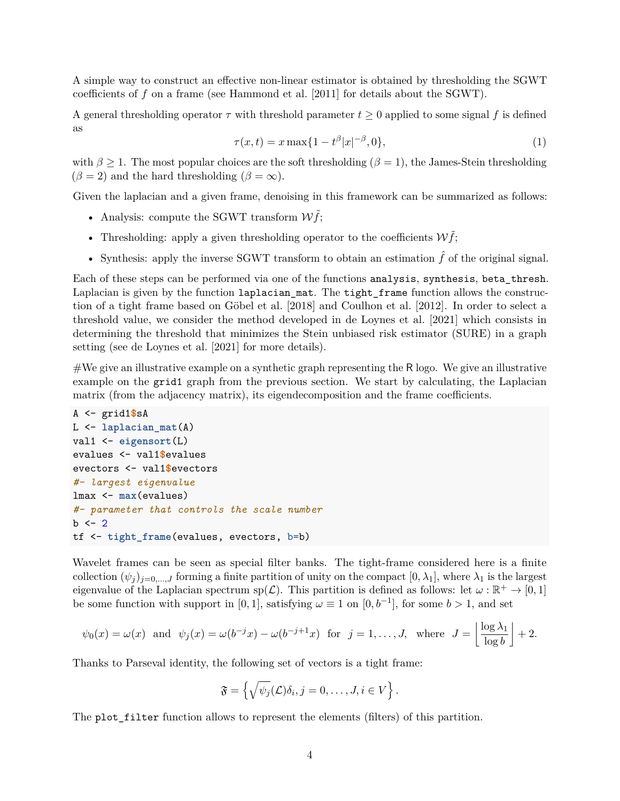A simple way to construct an effective non-linear estimator is obtained by thresholding the SGWT coefficients of *f* on a frame (see [Hammond et al. \[2011\]](#page-8-8) for details about the SGWT).

A general thresholding operator  $\tau$  with threshold parameter  $t \geq 0$  applied to some signal f is defined as

<span id="page-3-0"></span>
$$
\tau(x,t) = x \max\{1 - t^{\beta} |x|^{-\beta}, 0\},\tag{1}
$$

with  $\beta \geq 1$ . The most popular choices are the soft thresholding ( $\beta = 1$ ), the James-Stein thresholding  $(\beta = 2)$  and the hard thresholding  $(\beta = \infty)$ .

Given the laplacian and a given frame, denoising in this framework can be summarized as follows:

- Analysis: compute the SGWT transform  $W\tilde{f}$ ;
- Thresholding: apply a given thresholding operator to the coefficients  $W\tilde{f}$ ;
- Synthesis: apply the inverse SGWT transform to obtain an estimation  $\hat{f}$  of the original signal.

Each of these steps can be performed via one of the functions analysis, synthesis, beta\_thresh. Laplacian is given by the function laplacian\_mat. The tight\_frame function allows the construction of a tight frame based on [Göbel et al. \[2018\]](#page-8-10) and [Coulhon et al. \[2012\]](#page-7-2). In order to select a threshold value, we consider the method developed in [de Loynes et al. \[2021\]](#page-8-9) which consists in determining the threshold that minimizes the Stein unbiased risk estimator (SURE) in a graph setting (see [de Loynes et al. \[2021\]](#page-8-9) for more details).

#We give an illustrative example on a synthetic graph representing the R logo. We give an illustrative example on the grid1 graph from the previous section. We start by calculating, the Laplacian matrix (from the adjacency matrix), its eigendecomposition and the frame coefficients.

```
A <- grid1$sA
L <- laplacian_mat(A)
val1 <- eigensort(L)
evalues <- val1$evalues
evectors <- val1$evectors
#- largest eigenvalue
lmax <- max(evalues)
#- parameter that controls the scale number
b \le -2tf \leq tight frame(evalues, evectors, b=b)
```
Wavelet frames can be seen as special filter banks. The tight-frame considered here is a finite collection  $(\psi_j)_{j=0,\dots,J}$  forming a finite partition of unity on the compact  $[0, \lambda_1]$ , where  $\lambda_1$  is the largest eigenvalue of the Laplacian spectrum  $sp(\mathcal{L})$ . This partition is defined as follows: let  $\omega : \mathbb{R}^+ \to [0,1]$ be some function with support in [0, 1], satisfying  $\omega \equiv 1$  on [0,  $b^{-1}$ ], for some  $b > 1$ , and set

$$
\psi_0(x) = \omega(x)
$$
 and  $\psi_j(x) = \omega(b^{-j}x) - \omega(b^{-j+1}x)$  for  $j = 1, ..., J$ , where  $J = \left\lfloor \frac{\log \lambda_1}{\log b} \right\rfloor + 2$ .

Thanks to Parseval identity, the following set of vectors is a tight frame:

$$
\mathfrak{F} = \left\{ \sqrt{\psi_j}(\mathcal{L}) \delta_i, j = 0, \ldots, J, i \in V \right\}.
$$

The plot\_filter function allows to represent the elements (filters) of this partition.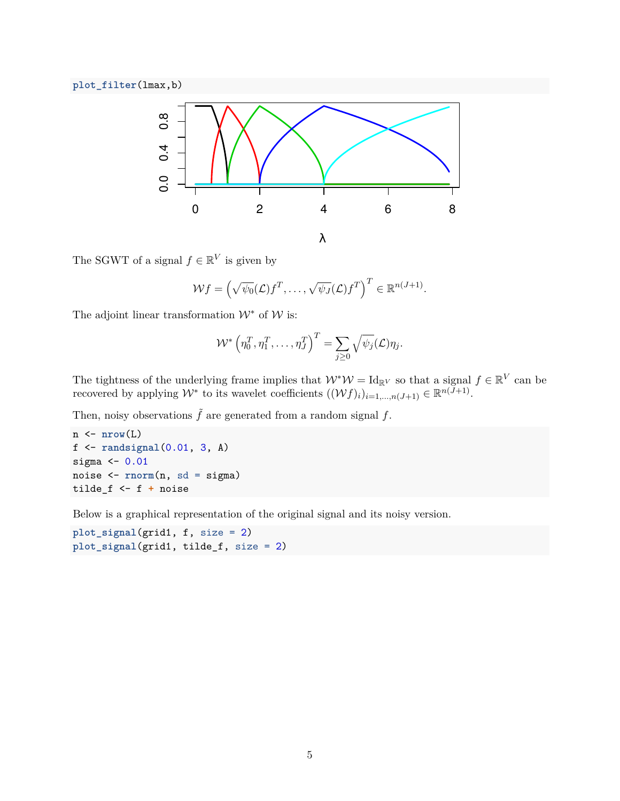**plot\_filter**(lmax,b)



The SGWT of a signal  $f \in \mathbb{R}^V$  is given by

$$
\mathcal{W}f = \left(\sqrt{\psi_0}(\mathcal{L})f^T, \ldots, \sqrt{\psi_J}(\mathcal{L})f^T\right)^T \in \mathbb{R}^{n(J+1)}.
$$

The adjoint linear transformation  $\mathcal{W}^*$  of  $\mathcal{W}$  is:

$$
\mathcal{W}^*\left(\eta_0^T,\eta_1^T,\ldots,\eta_J^T\right)^T = \sum_{j\geq 0} \sqrt{\psi_j}(\mathcal{L})\eta_j.
$$

The tightness of the underlying frame implies that  $W^*W = \mathrm{Id}_{\mathbb{R}^V}$  so that a signal  $f \in \mathbb{R}^V$  can be recovered by applying  $W^*$  to its wavelet coefficients  $((Wf)_i)_{i=1,\dots,n}(J+1) \in \mathbb{R}^{n(J+1)}$ .

Then, noisy observations  $\tilde{f}$  are generated from a random signal  $f$ .

```
n <- nrow(L)
f <- randsignal(0.01, 3, A)
sigma <-0.01noise <- rnorm(n, sd = sigma)
tilde_f <- f + noise
```
Below is a graphical representation of the original signal and its noisy version.

**plot\_signal**(grid1, f, size = 2) **plot\_signal**(grid1, tilde\_f, size = 2)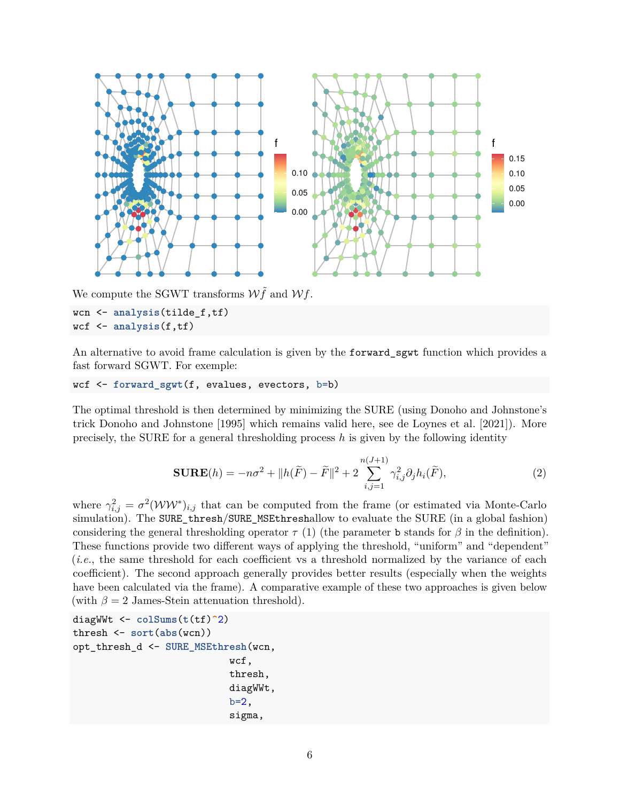

We compute the SGWT transforms  $W\tilde{f}$  and  $Wf$ .

```
wcn <- analysis(tilde_f,tf)
wcf <- analysis(f,tf)
```
An alternative to avoid frame calculation is given by the forward\_sgwt function which provides a fast forward SGWT. For exemple:

```
wcf <- forward_sgwt(f, evalues, evectors, b=b)
```
The optimal threshold is then determined by minimizing the SURE (using Donoho and Johnstone's trick [Donoho and Johnstone \[1995\]](#page-8-11) which remains valid here, see [de Loynes et al. \[2021\]](#page-8-9)). More precisely, the SURE for a general thresholding process *h* is given by the following identity

$$
\mathbf{SURE}(h) = -n\sigma^2 + ||h(\widetilde{F}) - \widetilde{F}||^2 + 2\sum_{i,j=1}^{n(J+1)} \gamma_{i,j}^2 \partial_j h_i(\widetilde{F}), \tag{2}
$$

where  $\gamma_{i,j}^2 = \sigma^2 (WW^*)_{i,j}$  that can be computed from the frame (or estimated via Monte-Carlo simulation). The SURE\_thresh/SURE\_MSEthreshallow to evaluate the SURE (in a global fashion) considering the general thresholding operator  $\tau$  [\(1\)](#page-3-0) (the parameter b stands for  $\beta$  in the definition). These functions provide two different ways of applying the threshold, "uniform" and "dependent" (*i.e.*, the same threshold for each coefficient vs a threshold normalized by the variance of each coefficient). The second approach generally provides better results (especially when the weights have been calculated via the frame). A comparative example of these two approaches is given below (with  $\beta = 2$  James-Stein attenuation threshold).

```
diagWWt <- colSums(t(tf)^2)
thresh <- sort(abs(wcn))
opt_thresh_d <- SURE_MSEthresh(wcn,
                            wcf,
                            thresh,
                            diagWWt,
                            b=2,
                            sigma,
```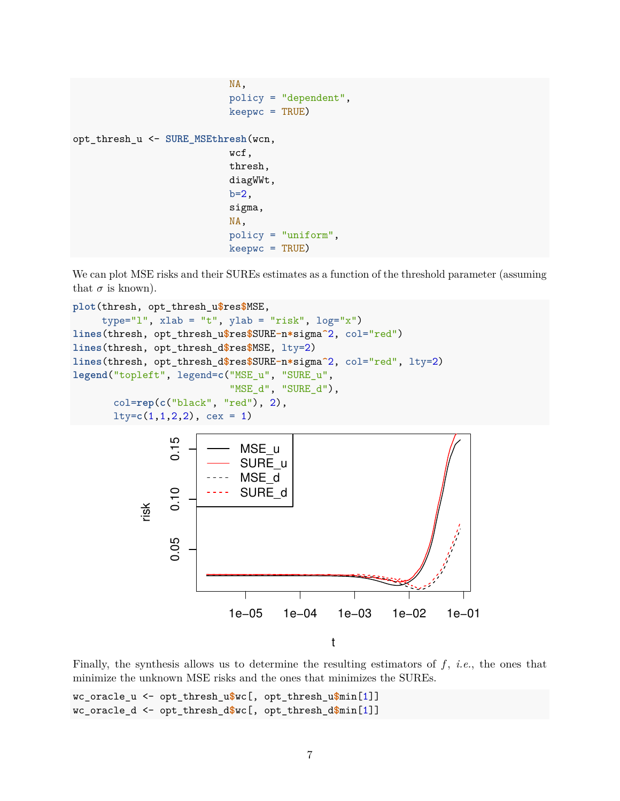```
NA,
                            policy = "dependent",
                            keepwc = TRUE)
opt_thresh_u <- SURE_MSEthresh(wcn,
                            wcf,
                            thresh,
                            diagWWt,
                            b=2,
                            sigma,
                            NA,
                            policy = "uniform",
                            keepwc = TRUE)
```
We can plot MSE risks and their SUREs estimates as a function of the threshold parameter (assuming that  $\sigma$  is known).

```
plot(thresh, opt_thresh_u$res$MSE,
     type="l", xlab = "t", ylab = "risk", log="x")
lines(thresh, opt_thresh_u$res$SURE-n*sigma^2, col="red")
lines(thresh, opt_thresh_d$res$MSE, lty=2)
lines(thresh, opt_thresh_d$res$SURE-n*sigma^2, col="red", lty=2)
legend("topleft", legend=c("MSE_u", "SURE_u",
                           "MSE_d", "SURE_d"),
       col=rep(c("black", "red"), 2),
       lty=c(1,1,2,2), cex = 1)
                 0.150.05 0.10 0.15
                             MSE_u
                             SURE_u
                             MSE_d
                 0.10SURE_d
           risk
                 0.05
                           1e−05 1e−04 1e−03 1e−02 1e−01
                                             t
```
Finally, the synthesis allows us to determine the resulting estimators of *f*, *i.e.*, the ones that minimize the unknown MSE risks and the ones that minimizes the SUREs.

wc\_oracle\_u <- opt\_thresh\_u**\$**wc[, opt\_thresh\_u**\$**min[1]] wc\_oracle\_d <- opt\_thresh\_d**\$**wc[, opt\_thresh\_d**\$**min[1]]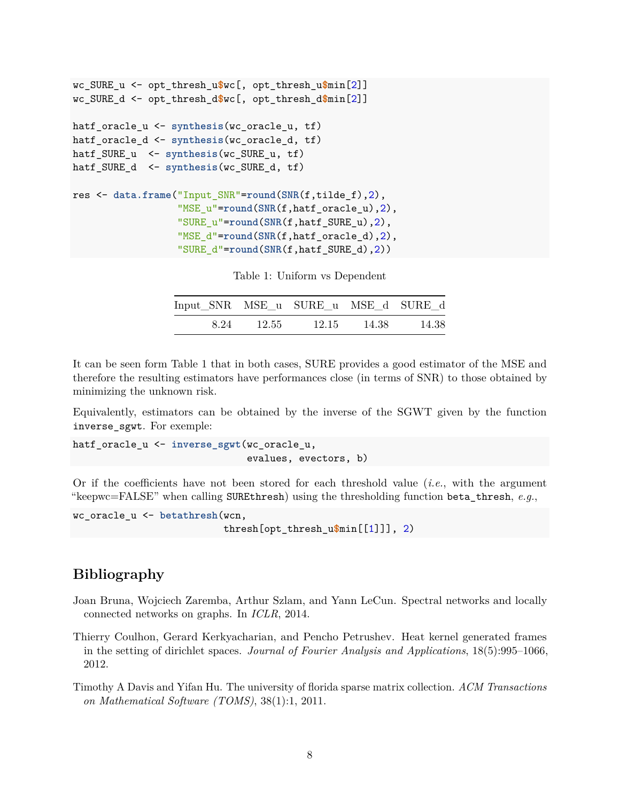```
wc_SURE_u <- opt_thresh_u$wc[, opt_thresh_u$min[2]]
wc_SURE_d <- opt_thresh_d$wc[, opt_thresh_d$min[2]]
hatf_oracle_u <- synthesis(wc_oracle_u, tf)
hatf oracle d <- synthesis(wc oracle d, tf)
hatf_SURE_u <- synthesis(wc_SURE_u, tf)
hatf_SURE_d <- synthesis(wc_SURE_d, tf)
res <- data.frame("Input_SNR"=round(SNR(f,tilde_f),2),
                  "MSE_u"=round(SNR(f,hatf_oracle_u),2),
                  "SURE_u"=round(SNR(f,hatf_SURE_u),2),
                  "MSE_d"=round(SNR(f,hatf_oracle_d),2),
                  "SURE_d"=round(SNR(f,hatf_SURE_d),2))
```

| Table 1: Uniform vs Dependent |  |
|-------------------------------|--|
|-------------------------------|--|

| Input SNR MSE u SURE u MSE d SURE d |       |       |         |       |
|-------------------------------------|-------|-------|---------|-------|
| 8.24                                | 12.55 | 12.15 | - 14.38 | 14.38 |

It can be seen form Table 1 that in both cases, SURE provides a good estimator of the MSE and therefore the resulting estimators have performances close (in terms of SNR) to those obtained by minimizing the unknown risk.

Equivalently, estimators can be obtained by the inverse of the SGWT given by the function inverse\_sgwt. For exemple:

hatf\_oracle\_u <- **inverse\_sgwt**(wc\_oracle\_u, evalues, evectors, b)

Or if the coefficients have not been stored for each threshold value (*i.e.*, with the argument "keepwc=FALSE" when calling SUREthresh) using the thresholding function beta thresh,  $e.g.,$ 

```
wc_oracle_u <- betathresh(wcn,
                          thresh[opt_thresh_u$min[[1]]], 2)
```
## **Bibliography**

- <span id="page-7-0"></span>Joan Bruna, Wojciech Zaremba, Arthur Szlam, and Yann LeCun. Spectral networks and locally connected networks on graphs. In *ICLR*, 2014.
- <span id="page-7-2"></span>Thierry Coulhon, Gerard Kerkyacharian, and Pencho Petrushev. Heat kernel generated frames in the setting of dirichlet spaces. *Journal of Fourier Analysis and Applications*, 18(5):995–1066, 2012.
- <span id="page-7-1"></span>Timothy A Davis and Yifan Hu. The university of florida sparse matrix collection. *ACM Transactions on Mathematical Software (TOMS)*, 38(1):1, 2011.